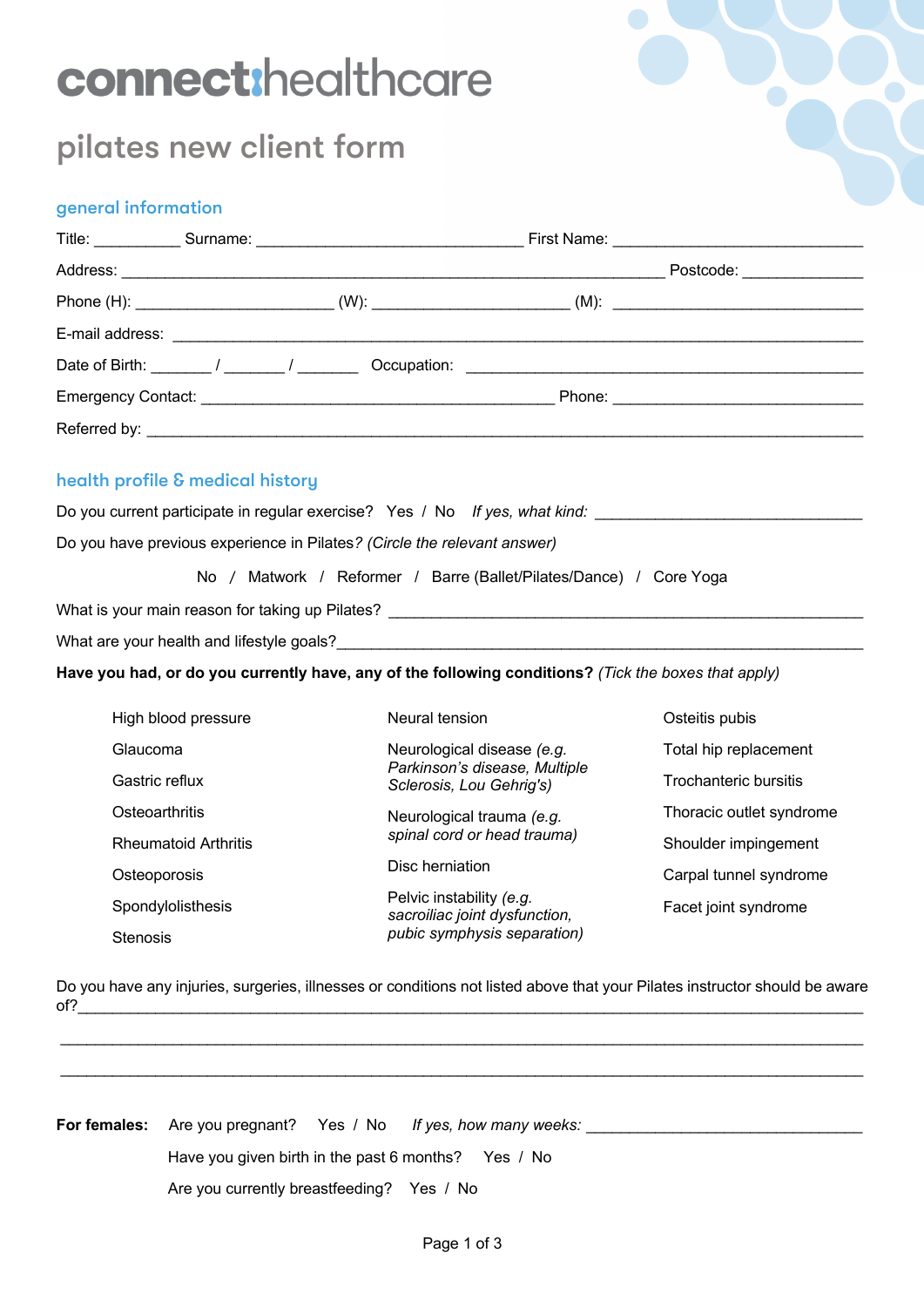# connect:healthcare

# pilates new client form

# general information

|  |  | Postcode: 2000                                                                                                |
|--|--|---------------------------------------------------------------------------------------------------------------|
|  |  | Phone (H): ________________________________(W): _________________________(M): _______________________________ |
|  |  |                                                                                                               |
|  |  |                                                                                                               |
|  |  |                                                                                                               |
|  |  |                                                                                                               |

# health profile & medical history

Do you current participate in regular exercise? Yes / No *If yes, what kind: \_\_\_\_\_\_\_\_\_\_\_\_\_\_\_\_\_\_\_\_\_\_\_\_\_\_\_\_\_\_\_*

Do you have previous experience in Pilates*? (Circle the relevant answer)*

No / Matwork / Reformer / Barre (Ballet/Pilates/Dance) / Core Yoga

What is your main reason for taking up Pilates? \_\_\_\_\_\_\_\_\_\_\_\_\_\_\_\_\_\_\_\_\_\_\_\_\_\_\_\_\_\_\_\_\_\_\_\_\_\_\_\_\_\_\_\_\_\_\_\_\_\_\_\_\_\_\_

What are your health and lifestyle goals?

**Have you had, or do you currently have, any of the following conditions?** *(Tick the boxes that apply)*

| High blood pressure         | Neural tension                                            | Osteitis pubis           |
|-----------------------------|-----------------------------------------------------------|--------------------------|
| Glaucoma                    | Neurological disease (e.g.                                | Total hip replacement    |
| Gastric reflux              | Parkinson's disease, Multiple<br>Sclerosis, Lou Gehrig's) | Trochanteric bursitis    |
| Osteoarthritis              | Neurological trauma (e.g.                                 | Thoracic outlet syndrome |
| <b>Rheumatoid Arthritis</b> | spinal cord or head trauma)                               | Shoulder impingement     |
| Osteoporosis                | Disc herniation                                           | Carpal tunnel syndrome   |
| Spondylolisthesis           | Pelvic instability (e.g.<br>sacroiliac joint dysfunction, | Facet joint syndrome     |
| <b>Stenosis</b>             | pubic symphysis separation)                               |                          |

Do you have any injuries, surgeries, illnesses or conditions not listed above that your Pilates instructor should be aware  $of?\_$ 

 $\mathcal{L}_\mathcal{L} = \mathcal{L}_\mathcal{L} = \mathcal{L}_\mathcal{L} = \mathcal{L}_\mathcal{L} = \mathcal{L}_\mathcal{L} = \mathcal{L}_\mathcal{L} = \mathcal{L}_\mathcal{L} = \mathcal{L}_\mathcal{L} = \mathcal{L}_\mathcal{L} = \mathcal{L}_\mathcal{L} = \mathcal{L}_\mathcal{L} = \mathcal{L}_\mathcal{L} = \mathcal{L}_\mathcal{L} = \mathcal{L}_\mathcal{L} = \mathcal{L}_\mathcal{L} = \mathcal{L}_\mathcal{L} = \mathcal{L}_\mathcal{L}$ 

\_\_\_\_\_\_\_\_\_\_\_\_\_\_\_\_\_\_\_\_\_\_\_\_\_\_\_\_\_\_\_\_\_\_\_\_\_\_\_\_\_\_\_\_\_\_\_\_\_\_\_\_\_\_\_\_\_\_\_\_\_\_\_\_\_\_\_\_\_\_\_\_\_\_\_\_\_\_\_\_\_\_\_\_\_\_\_\_\_\_\_\_\_

|                                           | <b>For females:</b> Are you pregnant? Yes / No If yes, how many weeks: |
|-------------------------------------------|------------------------------------------------------------------------|
|                                           | Have you given birth in the past 6 months? Yes / No                    |
| Are you currently breastfeeding? Yes / No |                                                                        |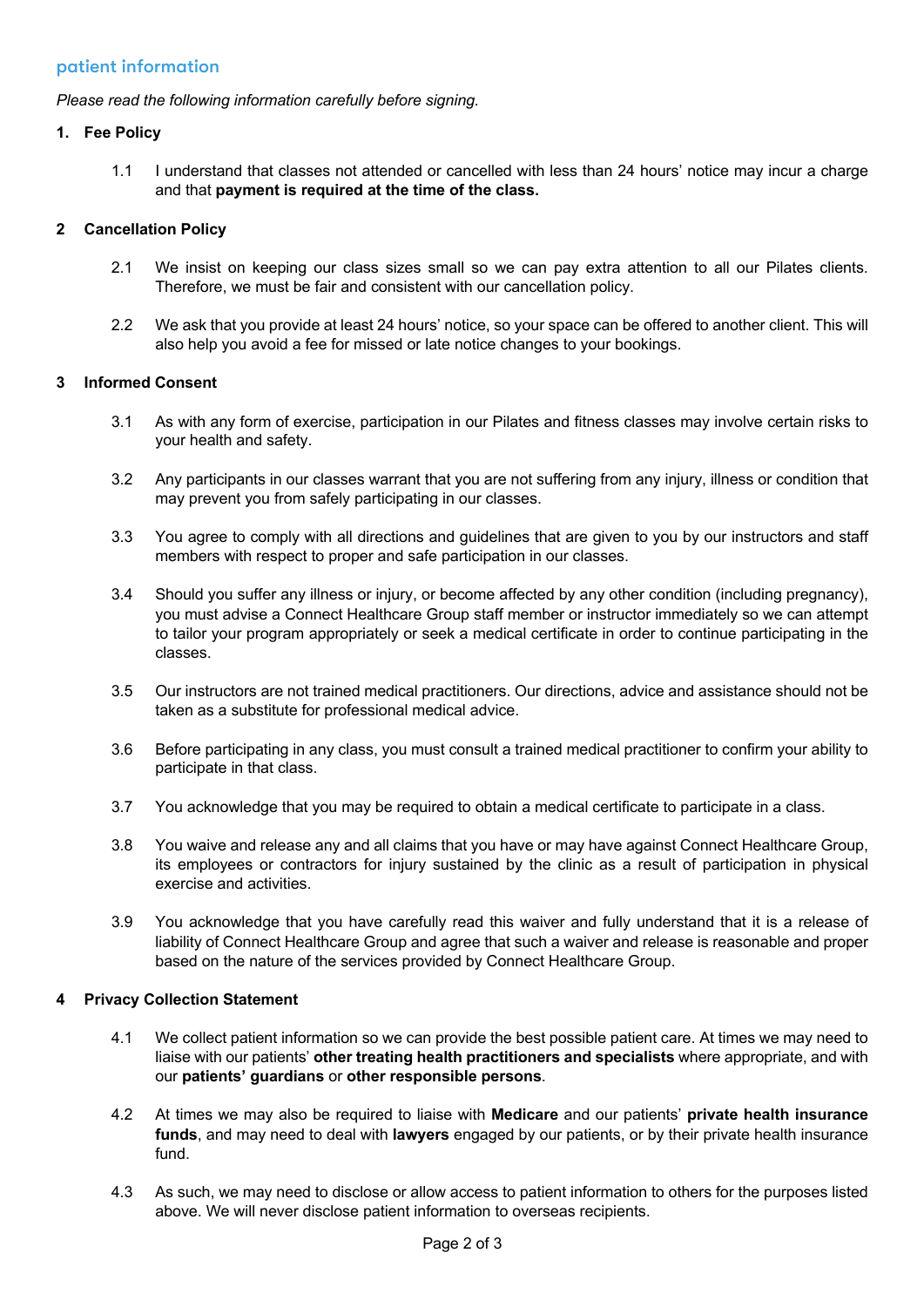### patient information

*Please read the following information carefully before signing.*

#### **1. Fee Policy**

1.1 I understand that classes not attended or cancelled with less than 24 hours' notice may incur a charge and that **payment is required at the time of the class.**

#### **2 Cancellation Policy**

- 2.1 We insist on keeping our class sizes small so we can pay extra attention to all our Pilates clients. Therefore, we must be fair and consistent with our cancellation policy.
- 2.2 We ask that you provide at least 24 hours' notice, so your space can be offered to another client. This will also help you avoid a fee for missed or late notice changes to your bookings.

#### **3 Informed Consent**

- 3.1 As with any form of exercise, participation in our Pilates and fitness classes may involve certain risks to your health and safety.
- 3.2 Any participants in our classes warrant that you are not suffering from any injury, illness or condition that may prevent you from safely participating in our classes.
- 3.3 You agree to comply with all directions and guidelines that are given to you by our instructors and staff members with respect to proper and safe participation in our classes.
- 3.4 Should you suffer any illness or injury, or become affected by any other condition (including pregnancy), you must advise a Connect Healthcare Group staff member or instructor immediately so we can attempt to tailor your program appropriately or seek a medical certificate in order to continue participating in the classes.
- 3.5 Our instructors are not trained medical practitioners. Our directions, advice and assistance should not be taken as a substitute for professional medical advice.
- 3.6 Before participating in any class, you must consult a trained medical practitioner to confirm your ability to participate in that class.
- 3.7 You acknowledge that you may be required to obtain a medical certificate to participate in a class.
- 3.8 You waive and release any and all claims that you have or may have against Connect Healthcare Group, its employees or contractors for injury sustained by the clinic as a result of participation in physical exercise and activities.
- 3.9 You acknowledge that you have carefully read this waiver and fully understand that it is a release of liability of Connect Healthcare Group and agree that such a waiver and release is reasonable and proper based on the nature of the services provided by Connect Healthcare Group.

#### **4 Privacy Collection Statement**

- 4.1 We collect patient information so we can provide the best possible patient care. At times we may need to liaise with our patients' **other treating health practitioners and specialists** where appropriate, and with our **patients' guardians** or **other responsible persons**.
- 4.2 At times we may also be required to liaise with **Medicare** and our patients' **private health insurance funds**, and may need to deal with **lawyers** engaged by our patients, or by their private health insurance fund.
- 4.3 As such, we may need to disclose or allow access to patient information to others for the purposes listed above. We will never disclose patient information to overseas recipients.